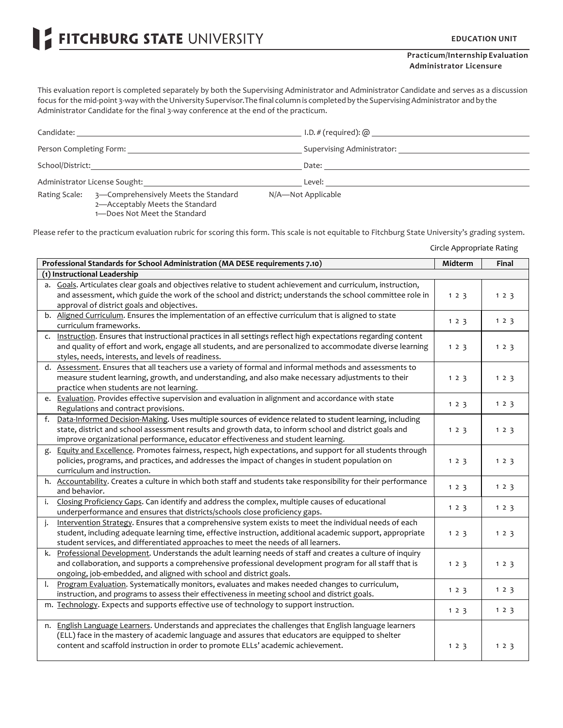FITCHBURG STATE UNIVERSITY

## **Practicum/Internship Evaluation Administrator Licensure**

This evaluation report is completed separately by both the Supervising Administrator and Administrator Candidate and serves as a discussion focus for the mid-point 3-way with the University Supervisor. The final column is completed by the Supervising Administrator and by the Administrator Candidate for the final 3-way conference at the end of the practicum.

| Candidate:                                                                       |                                      | I.D. $#$ (required): $@$   |
|----------------------------------------------------------------------------------|--------------------------------------|----------------------------|
| Person Completing Form:                                                          |                                      | Supervising Administrator: |
| School/District:                                                                 |                                      | Date:                      |
| Administrator License Sought:                                                    |                                      | Level:                     |
| Rating Scale:<br>2-Acceptably Meets the Standard<br>1-Does Not Meet the Standard | 3-Comprehensively Meets the Standard | N/A-Not Applicable         |

Please refer to the practicum evaluation rubric for scoring this form. This scale is not equitable to Fitchburg State University's grading system.

Circle Appropriate Rating

| Professional Standards for School Administration (MA DESE requirements 7.10) |                                                                                                                                                                                                                                                                                                            |     | Final |
|------------------------------------------------------------------------------|------------------------------------------------------------------------------------------------------------------------------------------------------------------------------------------------------------------------------------------------------------------------------------------------------------|-----|-------|
|                                                                              | (1) Instructional Leadership                                                                                                                                                                                                                                                                               |     |       |
|                                                                              | a. Goals. Articulates clear goals and objectives relative to student achievement and curriculum, instruction,<br>and assessment, which guide the work of the school and district; understands the school committee role in<br>approval of district goals and objectives.                                   | 123 | 123   |
|                                                                              | b. Aligned Curriculum. Ensures the implementation of an effective curriculum that is aligned to state<br>curriculum frameworks.                                                                                                                                                                            | 123 | 123   |
|                                                                              | c. Instruction. Ensures that instructional practices in all settings reflect high expectations regarding content<br>and quality of effort and work, engage all students, and are personalized to accommodate diverse learning<br>styles, needs, interests, and levels of readiness.                        | 123 | 123   |
|                                                                              | d. Assessment. Ensures that all teachers use a variety of formal and informal methods and assessments to<br>measure student learning, growth, and understanding, and also make necessary adjustments to their<br>practice when students are not learning.                                                  | 123 | 123   |
|                                                                              | e. Evaluation. Provides effective supervision and evaluation in alignment and accordance with state<br>Regulations and contract provisions.                                                                                                                                                                | 123 | 123   |
|                                                                              | f. Data-Informed Decision-Making. Uses multiple sources of evidence related to student learning, including<br>state, district and school assessment results and growth data, to inform school and district goals and<br>improve organizational performance, educator effectiveness and student learning.   | 123 | 123   |
| g.                                                                           | Equity and Excellence. Promotes fairness, respect, high expectations, and support for all students through<br>policies, programs, and practices, and addresses the impact of changes in student population on<br>curriculum and instruction.                                                               | 123 | 123   |
|                                                                              | h. Accountability. Creates a culture in which both staff and students take responsibility for their performance<br>and behavior.                                                                                                                                                                           | 123 | 123   |
| i.                                                                           | Closing Proficiency Gaps. Can identify and address the complex, multiple causes of educational<br>underperformance and ensures that districts/schools close proficiency gaps.                                                                                                                              | 123 | 123   |
| i.                                                                           | Intervention Strategy. Ensures that a comprehensive system exists to meet the individual needs of each<br>student, including adequate learning time, effective instruction, additional academic support, appropriate<br>student services, and differentiated approaches to meet the needs of all learners. | 123 | 123   |
|                                                                              | k. Professional Development. Understands the adult learning needs of staff and creates a culture of inquiry<br>and collaboration, and supports a comprehensive professional development program for all staff that is<br>ongoing, job-embedded, and aligned with school and district goals.                | 123 | 123   |
| I.                                                                           | Program Evaluation. Systematically monitors, evaluates and makes needed changes to curriculum,<br>instruction, and programs to assess their effectiveness in meeting school and district goals.                                                                                                            | 123 | 123   |
|                                                                              | m. Technology. Expects and supports effective use of technology to support instruction.                                                                                                                                                                                                                    | 123 | 123   |
|                                                                              | n. English Language Learners. Understands and appreciates the challenges that English language learners<br>(ELL) face in the mastery of academic language and assures that educators are equipped to shelter<br>content and scaffold instruction in order to promote ELLs' academic achievement.           | 123 | 123   |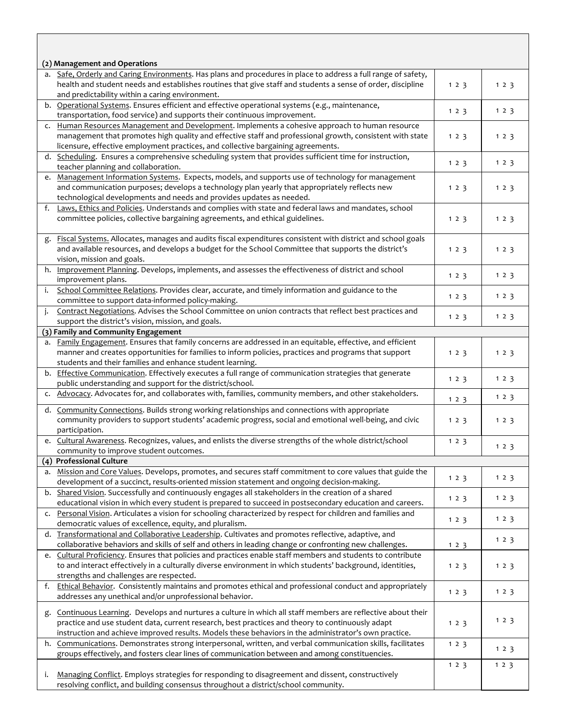|    | (2) Management and Operations                                                                                  |     |       |  |  |
|----|----------------------------------------------------------------------------------------------------------------|-----|-------|--|--|
|    | a. Safe, Orderly and Caring Environments. Has plans and procedures in place to address a full range of safety, |     |       |  |  |
|    | health and student needs and establishes routines that give staff and students a sense of order, discipline    | 123 | 123   |  |  |
|    | and predictability within a caring environment.                                                                |     |       |  |  |
|    | b. Operational Systems. Ensures efficient and effective operational systems (e.g., maintenance,                |     |       |  |  |
|    | transportation, food service) and supports their continuous improvement.                                       | 123 | 123   |  |  |
|    | c. Human Resources Management and Development. Implements a cohesive approach to human resource                |     |       |  |  |
|    | management that promotes high quality and effective staff and professional growth, consistent with state       | 123 | 123   |  |  |
|    | licensure, effective employment practices, and collective bargaining agreements.                               |     |       |  |  |
|    | d. Scheduling. Ensures a comprehensive scheduling system that provides sufficient time for instruction,        |     |       |  |  |
|    | teacher planning and collaboration.                                                                            | 123 | 123   |  |  |
|    | e. Management Information Systems. Expects, models, and supports use of technology for management              |     |       |  |  |
|    | and communication purposes; develops a technology plan yearly that appropriately reflects new                  |     |       |  |  |
|    |                                                                                                                | 123 | 123   |  |  |
|    | technological developments and needs and provides updates as needed.                                           |     |       |  |  |
|    | f. Laws, Ethics and Policies. Understands and complies with state and federal laws and mandates, school        |     |       |  |  |
|    | committee policies, collective bargaining agreements, and ethical guidelines.                                  | 123 | 123   |  |  |
|    |                                                                                                                |     |       |  |  |
| g. | Fiscal Systems. Allocates, manages and audits fiscal expenditures consistent with district and school goals    |     |       |  |  |
|    | and available resources, and develops a budget for the School Committee that supports the district's           | 123 | 123   |  |  |
|    | vision, mission and goals.                                                                                     |     |       |  |  |
|    | h. Improvement Planning. Develops, implements, and assesses the effectiveness of district and school           |     |       |  |  |
|    | improvement plans.                                                                                             | 123 | 123   |  |  |
| i. | School Committee Relations. Provides clear, accurate, and timely information and guidance to the               |     |       |  |  |
|    | committee to support data-informed policy-making.                                                              | 123 | 123   |  |  |
| j. | Contract Negotiations. Advises the School Committee on union contracts that reflect best practices and         |     |       |  |  |
|    |                                                                                                                | 123 | 123   |  |  |
|    | support the district's vision, mission, and goals.                                                             |     |       |  |  |
|    | (3) Family and Community Engagement                                                                            |     |       |  |  |
|    | a. Family Engagement. Ensures that family concerns are addressed in an equitable, effective, and efficient     |     |       |  |  |
|    | manner and creates opportunities for families to inform policies, practices and programs that support          | 123 | 123   |  |  |
|    | students and their families and enhance student learning.                                                      |     |       |  |  |
|    | b. Effective Communication. Effectively executes a full range of communication strategies that generate        |     |       |  |  |
|    | public understanding and support for the district/school.                                                      | 123 | 123   |  |  |
|    | c. Advocacy. Advocates for, and collaborates with, families, community members, and other stakeholders.        |     | 123   |  |  |
|    |                                                                                                                | 123 |       |  |  |
|    | d. Community Connections. Builds strong working relationships and connections with appropriate                 |     |       |  |  |
|    | community providers to support students' academic progress, social and emotional well-being, and civic         | 123 | 123   |  |  |
|    | participation.                                                                                                 |     |       |  |  |
|    | e. Cultural Awareness. Recognizes, values, and enlists the diverse strengths of the whole district/school      | 123 |       |  |  |
|    | community to improve student outcomes.                                                                         |     | 123   |  |  |
|    | (4) Professional Culture                                                                                       |     |       |  |  |
|    | a. Mission and Core Values. Develops, promotes, and secures staff commitment to core values that guide the     |     |       |  |  |
|    | development of a succinct, results-oriented mission statement and ongoing decision-making.                     | 123 | 123   |  |  |
|    | b. Shared Vision. Successfully and continuously engages all stakeholders in the creation of a shared           |     |       |  |  |
|    | educational vision in which every student is prepared to succeed in postsecondary education and careers.       | 123 | 123   |  |  |
|    | Personal Vision. Articulates a vision for schooling characterized by respect for children and families and     |     |       |  |  |
| c. |                                                                                                                | 123 | 1 2 3 |  |  |
|    | democratic values of excellence, equity, and pluralism.                                                        |     |       |  |  |
|    | d. Transformational and Collaborative Leadership. Cultivates and promotes reflective, adaptive, and            |     | 1 2 3 |  |  |
|    | collaborative behaviors and skills of self and others in leading change or confronting new challenges.         | 123 |       |  |  |
|    | e. Cultural Proficiency. Ensures that policies and practices enable staff members and students to contribute   |     |       |  |  |
|    | to and interact effectively in a culturally diverse environment in which students' background, identities,     | 123 | 123   |  |  |
|    | strengths and challenges are respected.                                                                        |     |       |  |  |
|    | f. Ethical Behavior. Consistently maintains and promotes ethical and professional conduct and appropriately    |     |       |  |  |
|    | addresses any unethical and/or unprofessional behavior.                                                        | 123 | 123   |  |  |
|    |                                                                                                                |     |       |  |  |
| g. | Continuous Learning. Develops and nurtures a culture in which all staff members are reflective about their     |     |       |  |  |
|    | practice and use student data, current research, best practices and theory to continuously adapt               | 123 | 123   |  |  |
|    | instruction and achieve improved results. Models these behaviors in the administrator's own practice.          |     |       |  |  |
|    | h. Communications. Demonstrates strong interpersonal, written, and verbal communication skills, facilitates    | 123 |       |  |  |
|    | groups effectively, and fosters clear lines of communication between and among constituencies.                 |     | 123   |  |  |
|    |                                                                                                                | 123 | 123   |  |  |
| i. | Managing Conflict. Employs strategies for responding to disagreement and dissent, constructively               |     |       |  |  |
|    | resolving conflict, and building consensus throughout a district/school community.                             |     |       |  |  |
|    |                                                                                                                |     |       |  |  |

 $\Box$